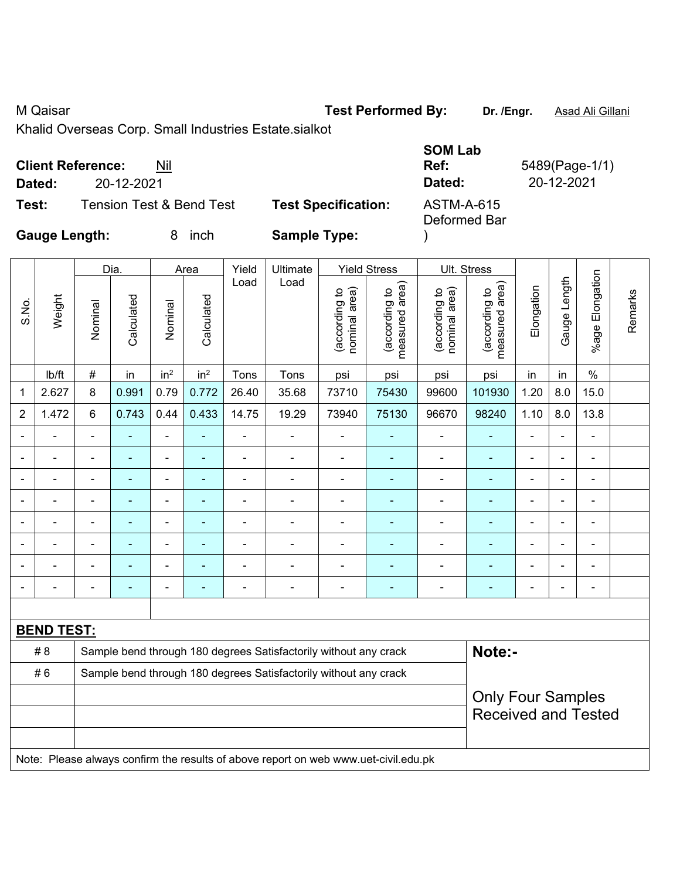M Qaisar **Test Performed By: Dr. /Engr.** Asad Ali Gillani

Khalid Overseas Corp. Small Industries Estate.sialkot

### **Client Reference:** Nil **SOM Lab Ref:** 5489(Page-1/1) **Dated:** 20-12-2021 **Dated:** 20-12-2021 **Test:** Tension Test & Bend Test **Test Specification:** ASTM-A-615 **Gauge Length:** 8 inch **Sample Type:**  Deformed Bar )

|                          |                   |                | Dia.                     |                          | Area                     | Yield                                                            | Ultimate                                                                            |                                | <b>Yield Stress</b>                |                                | Ult. Stress                     |                |                |                          |         |
|--------------------------|-------------------|----------------|--------------------------|--------------------------|--------------------------|------------------------------------------------------------------|-------------------------------------------------------------------------------------|--------------------------------|------------------------------------|--------------------------------|---------------------------------|----------------|----------------|--------------------------|---------|
| S.No.                    | Weight            | Nominal        | Calculated               | Nominal                  | Calculated               | Load                                                             | Load                                                                                | nominal area)<br>(according to | area)<br>(according to<br>measured | nominal area)<br>(according to | measured area)<br>(according to | Elongation     | Gauge Length   | %age Elongation          | Remarks |
|                          | Ib/ft             | $\#$           | in                       | in <sup>2</sup>          | in <sup>2</sup>          | Tons                                                             | Tons                                                                                | psi                            | psi                                | psi                            | psi                             | in             | in             | $\%$                     |         |
| 1                        | 2.627             | 8              | 0.991                    | 0.79                     | 0.772                    | 26.40                                                            | 35.68                                                                               | 73710                          | 75430                              | 99600                          | 101930                          | 1.20           | 8.0            | 15.0                     |         |
| $\overline{2}$           | 1.472             | $\,6$          | 0.743                    | 0.44                     | 0.433                    | 14.75                                                            | 19.29                                                                               | 73940                          | 75130                              | 96670                          | 98240                           | 1.10           | 8.0            | 13.8                     |         |
|                          |                   |                |                          | ä,                       | ۰                        | ä,                                                               | $\blacksquare$                                                                      |                                |                                    | -                              | ä,                              | $\blacksquare$ |                |                          |         |
|                          |                   |                | $\blacksquare$           | ä,                       | ۰                        | ÷                                                                | ä,                                                                                  | $\blacksquare$                 |                                    | $\blacksquare$                 | ä,                              | ä,             | $\blacksquare$ | $\blacksquare$           |         |
| $\overline{\phantom{0}}$ |                   | $\blacksquare$ |                          | ÷,                       | ۰                        | $\blacksquare$                                                   | $\blacksquare$                                                                      | $\blacksquare$                 | $\blacksquare$                     | -                              | ۰                               | ۰              | $\blacksquare$ | $\blacksquare$           |         |
|                          |                   | $\blacksquare$ | Ē,                       | ÷,                       | ۰                        | $\blacksquare$                                                   | $\blacksquare$                                                                      | Ē,                             | $\blacksquare$                     | $\overline{\phantom{a}}$       | ä,                              | $\blacksquare$ | $\blacksquare$ | $\blacksquare$           |         |
|                          | ÷                 | $\blacksquare$ | $\blacksquare$           | $\blacksquare$           | $\overline{\phantom{0}}$ | ÷                                                                | $\blacksquare$                                                                      | $\blacksquare$                 | $\blacksquare$                     | $\overline{\phantom{a}}$       | $\blacksquare$                  | ÷              | $\blacksquare$ | $\overline{\phantom{a}}$ |         |
|                          | ä,                |                | Ē,                       | $\blacksquare$           | ÷                        | ÷,                                                               | ÷,                                                                                  | $\blacksquare$                 | $\overline{\phantom{a}}$           | $\blacksquare$                 | ÷                               | ÷,             | $\blacksquare$ | $\blacksquare$           |         |
|                          | ÷.                | $\blacksquare$ | ä,                       | $\overline{\phantom{0}}$ | $\blacksquare$           | ä,                                                               | ä,                                                                                  | ä,                             | $\blacksquare$                     | ÷,                             | ä,                              | L.             | $\overline{a}$ | $\blacksquare$           |         |
|                          |                   |                |                          | Ĭ.                       | ÷                        | $\blacksquare$                                                   | $\blacksquare$                                                                      | Ē,                             | $\blacksquare$                     | -                              | $\blacksquare$                  | $\blacksquare$ | $\blacksquare$ | $\blacksquare$           |         |
|                          |                   |                |                          |                          |                          |                                                                  |                                                                                     |                                |                                    |                                |                                 |                |                |                          |         |
|                          | <b>BEND TEST:</b> |                |                          |                          |                          |                                                                  |                                                                                     |                                |                                    |                                |                                 |                |                |                          |         |
|                          | #8                |                |                          |                          |                          |                                                                  | Sample bend through 180 degrees Satisfactorily without any crack                    |                                |                                    |                                | Note:-                          |                |                |                          |         |
|                          | #6                |                |                          |                          |                          | Sample bend through 180 degrees Satisfactorily without any crack |                                                                                     |                                |                                    |                                |                                 |                |                |                          |         |
|                          |                   |                | <b>Only Four Samples</b> |                          |                          |                                                                  |                                                                                     |                                |                                    |                                |                                 |                |                |                          |         |
|                          |                   |                |                          |                          |                          |                                                                  |                                                                                     |                                |                                    |                                | <b>Received and Tested</b>      |                |                |                          |         |
|                          |                   |                |                          |                          |                          |                                                                  |                                                                                     |                                |                                    |                                |                                 |                |                |                          |         |
|                          |                   |                |                          |                          |                          |                                                                  | Note: Please always confirm the results of above report on web www.uet-civil.edu.pk |                                |                                    |                                |                                 |                |                |                          |         |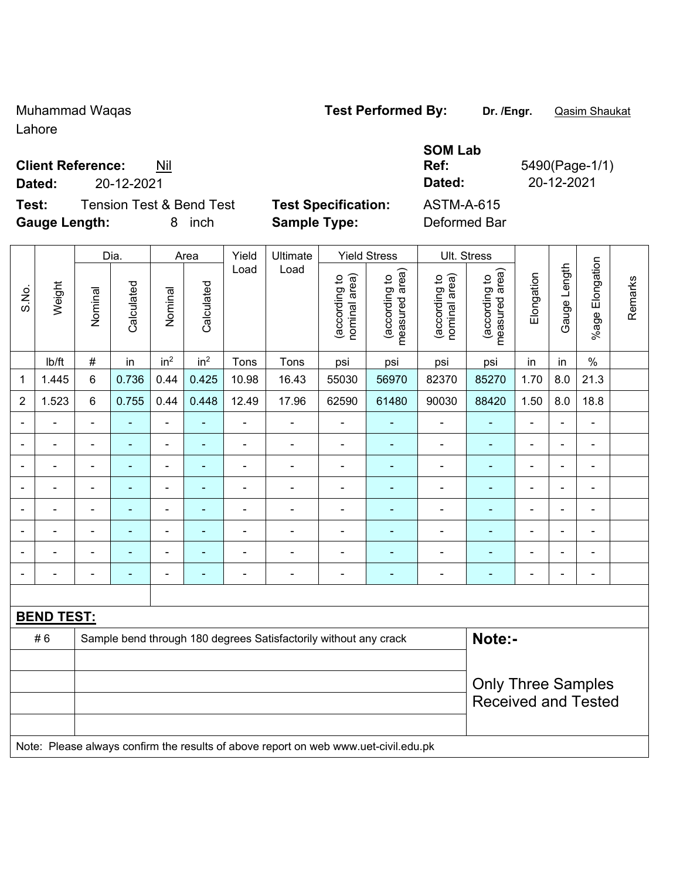Muhammad Waqas **Test Performed By: Dr. /Engr.** Qasim Shaukat

**SOM Lab** 

Lahore

### **Client Reference:** Nil

**Test:** Tension Test & Bend Test **Test Specification:** ASTM-A-615 **Gauge Length:** 8 inch **Sample Type:** Deformed Bar

**Ref:** 5490(Page-1/1) **Dated:** 20-12-2021 **Dated:** 20-12-2021

|                |                   |                | Dia.       |                 | Area            | Yield          | Ult. Stress                                                                         |                                |                                 |                                |                                 |                |                |                       |         |
|----------------|-------------------|----------------|------------|-----------------|-----------------|----------------|-------------------------------------------------------------------------------------|--------------------------------|---------------------------------|--------------------------------|---------------------------------|----------------|----------------|-----------------------|---------|
| S.No.          | Weight            | Nominal        | Calculated | Nominal         | Calculated      | Load           | Load                                                                                | nominal area)<br>(according to | (according to<br>measured area) | (according to<br>nominal area) | (according to<br>measured area) | Elongation     | Gauge Length   | Elongation<br>$%$ age | Remarks |
|                | lb/ft             | $\#$           | in         | in <sup>2</sup> | in <sup>2</sup> | Tons           | Tons                                                                                | psi                            | psi                             | psi                            | psi                             | in             | in             | $\%$                  |         |
| $\mathbf{1}$   | 1.445             | $6\phantom{1}$ | 0.736      | 0.44            | 0.425           | 10.98          | 16.43                                                                               | 55030                          | 56970                           | 82370                          | 85270                           | 1.70           | 8.0            | 21.3                  |         |
| $\overline{2}$ | 1.523             | $6\phantom{1}$ | 0.755      | 0.44            | 0.448           | 12.49          | 17.96                                                                               | 62590                          | 61480                           | 90030                          | 88420                           | 1.50           | 8.0            | 18.8                  |         |
|                |                   | $\blacksquare$ |            | $\blacksquare$  |                 | ä,             |                                                                                     | L,                             |                                 | ä,                             |                                 | L.             |                | ä,                    |         |
|                |                   | $\blacksquare$ |            | ۰               |                 | $\blacksquare$ | $\blacksquare$                                                                      |                                |                                 | $\blacksquare$                 |                                 | $\blacksquare$ |                | $\blacksquare$        |         |
| $\blacksquare$ |                   | $\blacksquare$ | ۰          | ÷               |                 | $\blacksquare$ | $\blacksquare$                                                                      | ä,                             | $\blacksquare$                  | $\blacksquare$                 | ÷,                              | $\blacksquare$ | $\blacksquare$ | $\blacksquare$        |         |
| ÷              |                   | $\blacksquare$ | L,         | ÷,              | $\blacksquare$  | ä,             | ÷,                                                                                  | ä,                             | ۰                               | $\blacksquare$                 | $\blacksquare$                  |                |                | $\blacksquare$        |         |
|                |                   | $\blacksquare$ | ÷          | ۰               | $\blacksquare$  | ä,             | $\blacksquare$                                                                      | ä,                             | ۰                               | $\blacksquare$                 | $\blacksquare$                  | ä,             |                | $\blacksquare$        |         |
|                |                   | $\blacksquare$ | ä,         | $\blacksquare$  |                 | ÷              | $\blacksquare$                                                                      | $\blacksquare$                 |                                 | $\blacksquare$                 | Ē,                              | $\blacksquare$ |                | ä,                    |         |
|                |                   | $\blacksquare$ |            |                 |                 |                | $\blacksquare$                                                                      | ä,                             |                                 |                                |                                 |                |                | ä,                    |         |
| ۰              |                   | $\blacksquare$ | ۰          | $\overline{a}$  | $\blacksquare$  | ÷              | $\blacksquare$                                                                      |                                | ۰                               | ÷                              | ÷                               | $\overline{a}$ |                | $\overline{a}$        |         |
|                |                   |                |            |                 |                 |                |                                                                                     |                                |                                 |                                |                                 |                |                |                       |         |
|                | <b>BEND TEST:</b> |                |            |                 |                 |                |                                                                                     |                                |                                 |                                |                                 |                |                |                       |         |
|                | #6                |                |            |                 |                 |                | Sample bend through 180 degrees Satisfactorily without any crack                    |                                |                                 |                                | Note:-                          |                |                |                       |         |
|                |                   |                |            |                 |                 |                |                                                                                     |                                |                                 |                                |                                 |                |                |                       |         |
|                |                   |                |            |                 |                 |                |                                                                                     |                                |                                 |                                | <b>Only Three Samples</b>       |                |                |                       |         |
|                |                   |                |            |                 |                 |                |                                                                                     |                                |                                 |                                | <b>Received and Tested</b>      |                |                |                       |         |
|                |                   |                |            |                 |                 |                |                                                                                     |                                |                                 |                                |                                 |                |                |                       |         |
|                |                   |                |            |                 |                 |                | Note: Please always confirm the results of above report on web www.uet-civil.edu.pk |                                |                                 |                                |                                 |                |                |                       |         |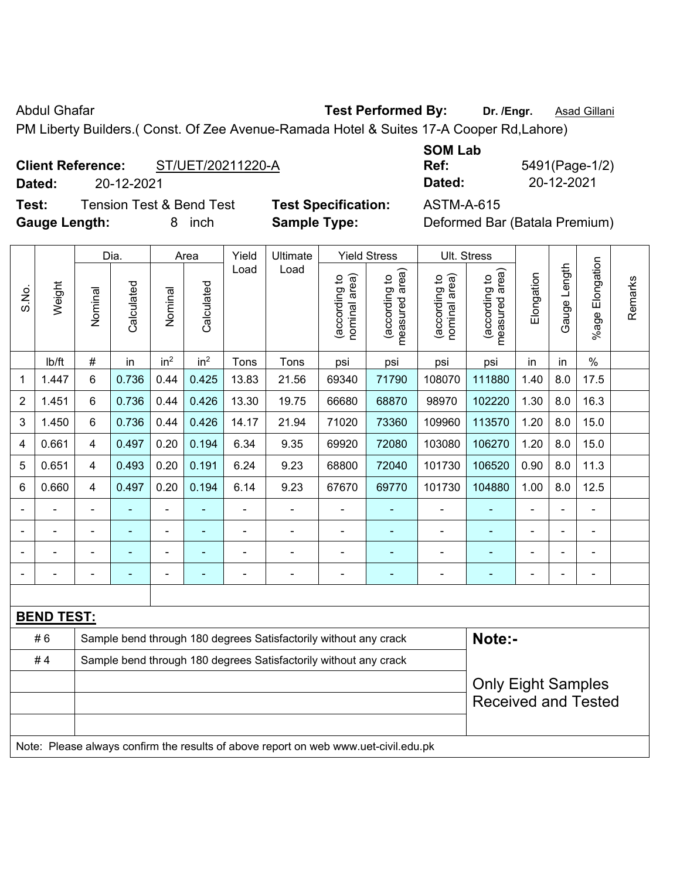Abdul Ghafar **Test Performed By:** Dr. /Engr. **Asad Gillani Abdul Ghafar** 

PM Liberty Builders.( Const. Of Zee Avenue-Ramada Hotel & Suites 17-A Cooper Rd,Lahore)

### **Client Reference:** ST/UET/20211220-A

**Dated:** 20-12-2021 **Dated:** 20-12-2021

**Test:** Tension Test & Bend Test **Test Specification:** ASTM-A-615 **Gauge Length:** 8 inch **Sample Type:** Deformed Bar (Batala Premium)

| <b>SOM Lab</b> |                |
|----------------|----------------|
| Ref:           | 5491(Page-1/2) |
| Dated:         | 20-12-2021     |

|                |                   |                | Dia.                                                             |                 | Area            | Yield | Ultimate                                                                            |                                | <b>Yield Stress</b>             | Ult. Stress                    |                                 |                |              |                       |         |
|----------------|-------------------|----------------|------------------------------------------------------------------|-----------------|-----------------|-------|-------------------------------------------------------------------------------------|--------------------------------|---------------------------------|--------------------------------|---------------------------------|----------------|--------------|-----------------------|---------|
| S.No.          | Weight            | Nominal        | Calculated                                                       | Nominal         | Calculated      | Load  | Load                                                                                | nominal area)<br>(according to | measured area)<br>(according to | (according to<br>nominal area) | (according to<br>measured area) | Elongation     | Gauge Length | Elongation<br>$%$ age | Remarks |
|                | Ib/ft             | $\#$           | in                                                               | in <sup>2</sup> | in <sup>2</sup> | Tons  | Tons                                                                                | psi                            | psi                             | psi                            | psi                             | in             | in           | $\%$                  |         |
| 1              | 1.447             | 6              | 0.736                                                            | 0.44            | 0.425           | 13.83 | 21.56                                                                               | 69340                          | 71790                           | 108070                         | 111880                          | 1.40           | 8.0          | 17.5                  |         |
| $\overline{2}$ | 1.451             | 6              | 0.736                                                            | 0.44            | 0.426           | 13.30 | 19.75                                                                               | 66680                          | 68870                           | 98970                          | 102220                          | 1.30           | 8.0          | 16.3                  |         |
| 3              | 1.450             | 6              | 0.736                                                            | 0.44            | 0.426           | 14.17 | 21.94                                                                               | 71020                          | 73360                           | 109960                         | 113570                          | 1.20           | 8.0          | 15.0                  |         |
| 4              | 0.661             | 4              | 0.497                                                            | 0.20            | 0.194           | 6.34  | 9.35                                                                                | 69920                          | 72080                           | 103080                         | 106270                          | 1.20           | 8.0          | 15.0                  |         |
| 5              | 0.651             | 4              | 0.493                                                            | 0.20            | 0.191           | 6.24  | 9.23                                                                                | 68800                          | 72040                           | 101730                         | 106520                          | 0.90           | 8.0          | 11.3                  |         |
| 6              | 0.660             | 4              | 0.497                                                            | 0.20            | 0.194           | 6.14  | 9.23                                                                                | 67670                          | 69770                           | 101730                         | 104880                          | 1.00           | 8.0          | 12.5                  |         |
|                |                   | $\blacksquare$ | ÷,                                                               | $\blacksquare$  |                 | L,    | ä,                                                                                  | L,                             | ۰                               | $\blacksquare$                 | ä,                              |                |              | L,                    |         |
|                |                   |                |                                                                  |                 |                 |       | ä,                                                                                  | $\blacksquare$                 | ۰                               |                                | ۰                               |                |              | $\blacksquare$        |         |
|                |                   |                |                                                                  |                 |                 |       | $\blacksquare$                                                                      | ä,                             | ۰                               | $\blacksquare$                 | ۰                               |                |              |                       |         |
|                |                   |                |                                                                  | $\blacksquare$  |                 |       | $\blacksquare$                                                                      | $\blacksquare$                 | ۰                               | $\blacksquare$                 | ۰                               | $\blacksquare$ |              | $\blacksquare$        |         |
|                |                   |                |                                                                  |                 |                 |       |                                                                                     |                                |                                 |                                |                                 |                |              |                       |         |
|                | <b>BEND TEST:</b> |                |                                                                  |                 |                 |       |                                                                                     |                                |                                 |                                |                                 |                |              |                       |         |
|                | #6                |                |                                                                  |                 |                 |       | Sample bend through 180 degrees Satisfactorily without any crack                    |                                |                                 |                                | Note:-                          |                |              |                       |         |
|                | #4                |                | Sample bend through 180 degrees Satisfactorily without any crack |                 |                 |       |                                                                                     |                                |                                 |                                |                                 |                |              |                       |         |
|                |                   |                | <b>Only Eight Samples</b>                                        |                 |                 |       |                                                                                     |                                |                                 |                                |                                 |                |              |                       |         |
|                |                   |                |                                                                  |                 |                 |       |                                                                                     |                                |                                 |                                | <b>Received and Tested</b>      |                |              |                       |         |
|                |                   |                |                                                                  |                 |                 |       |                                                                                     |                                |                                 |                                |                                 |                |              |                       |         |
|                |                   |                |                                                                  |                 |                 |       | Note: Please always confirm the results of above report on web www.uet-civil.edu.pk |                                |                                 |                                |                                 |                |              |                       |         |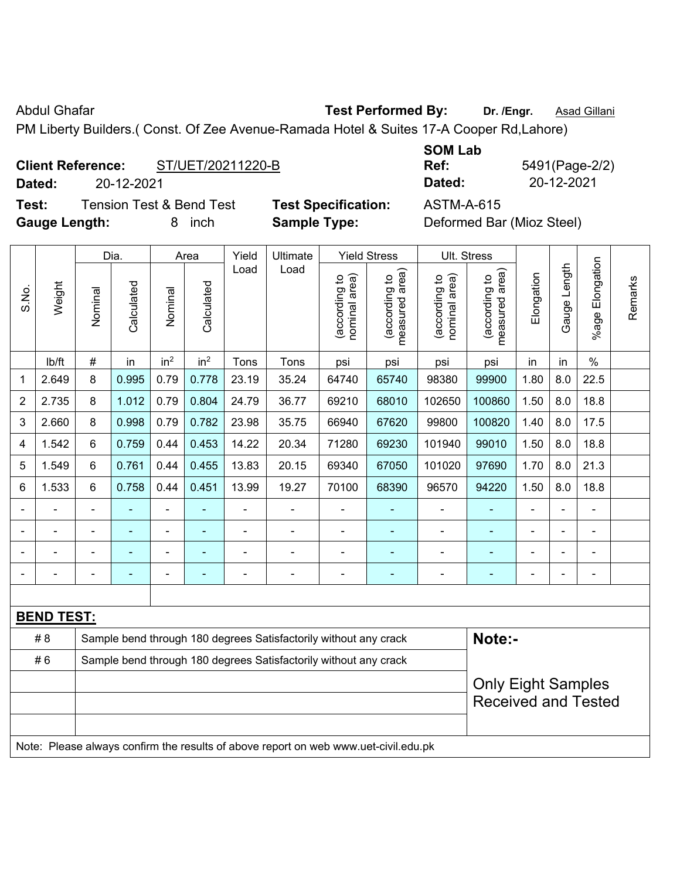Abdul Ghafar **Test Performed By:** Dr. /Engr. **Asad Gillani Abdul Ghafar** 

PM Liberty Builders.( Const. Of Zee Avenue-Ramada Hotel & Suites 17-A Cooper Rd,Lahore)

# **Client Reference:** ST/UET/20211220-B

**Dated:** 20-12-2021 **Dated:** 20-12-2021

**Test:** Tension Test & Bend Test **Test Specification:** ASTM-A-615 **Gauge Length:** 8 inch **Sample Type:** Deformed Bar (Mioz Steel)

| <b>SOM Lab</b> |                |
|----------------|----------------|
| Ref:           | 5491(Page-2/2) |
| Dated:         | 20-12-2021     |

|                |                   |                | Dia.                                                             |                          | Area            | Yield | Ultimate                                                                            |                                | <b>Yield Stress</b>                         |                                | Ult. Stress                     |                |              |                       |         |
|----------------|-------------------|----------------|------------------------------------------------------------------|--------------------------|-----------------|-------|-------------------------------------------------------------------------------------|--------------------------------|---------------------------------------------|--------------------------------|---------------------------------|----------------|--------------|-----------------------|---------|
| S.No.          | Weight            | Nominal        | Calculated                                                       | Nominal                  | Calculated      | Load  | Load                                                                                | nominal area)<br>(according to | (according to<br>neasured area)<br>measured | (according to<br>nominal area) | (according to<br>measured area) | Elongation     | Gauge Length | Elongation<br>$%$ age | Remarks |
|                | lb/ft             | #              | in                                                               | in <sup>2</sup>          | in <sup>2</sup> | Tons  | Tons                                                                                | psi                            | psi                                         | psi                            | psi                             | in             | in           | $\%$                  |         |
| 1              | 2.649             | 8              | 0.995                                                            | 0.79                     | 0.778           | 23.19 | 35.24                                                                               | 64740                          | 65740                                       | 98380                          | 99900                           | 1.80           | 8.0          | 22.5                  |         |
| $\overline{2}$ | 2.735             | 8              | 1.012                                                            | 0.79                     | 0.804           | 24.79 | 36.77                                                                               | 69210                          | 68010                                       | 102650                         | 100860                          | 1.50           | 8.0          | 18.8                  |         |
| 3              | 2.660             | 8              | 0.998                                                            | 0.79                     | 0.782           | 23.98 | 35.75                                                                               | 66940                          | 67620                                       | 99800                          | 100820                          | 1.40           | 8.0          | 17.5                  |         |
| 4              | 1.542             | 6              | 0.759                                                            | 0.44                     | 0.453           | 14.22 | 20.34                                                                               | 71280                          | 69230                                       | 101940                         | 99010                           | 1.50           | 8.0          | 18.8                  |         |
| 5              | 1.549             | 6              | 0.761                                                            | 0.44                     | 0.455           | 13.83 | 20.15                                                                               | 69340                          | 67050                                       | 101020                         | 97690                           | 1.70           | 8.0          | 21.3                  |         |
| 6              | 1.533             | 6              | 0.758                                                            | 0.44                     | 0.451           | 13.99 | 19.27                                                                               | 70100                          | 68390                                       | 96570                          | 94220                           | 1.50           | 8.0          | 18.8                  |         |
|                |                   | $\blacksquare$ | ä,                                                               | ÷,                       |                 | ÷,    | ä,                                                                                  | $\overline{a}$                 | ۰                                           | $\blacksquare$                 | ÷,                              |                |              | ÷                     |         |
|                |                   |                |                                                                  |                          |                 |       | $\blacksquare$                                                                      | ä,                             |                                             |                                | ۰                               |                |              |                       |         |
|                |                   |                |                                                                  |                          |                 |       |                                                                                     |                                |                                             |                                |                                 |                |              |                       |         |
|                |                   |                |                                                                  | $\overline{\phantom{0}}$ |                 |       | $\blacksquare$                                                                      | $\blacksquare$                 | ۰                                           | $\overline{a}$                 | $\overline{\phantom{0}}$        | $\blacksquare$ |              | $\blacksquare$        |         |
|                |                   |                |                                                                  |                          |                 |       |                                                                                     |                                |                                             |                                |                                 |                |              |                       |         |
|                | <b>BEND TEST:</b> |                |                                                                  |                          |                 |       |                                                                                     |                                |                                             |                                |                                 |                |              |                       |         |
|                | # 8               |                |                                                                  |                          |                 |       | Sample bend through 180 degrees Satisfactorily without any crack                    |                                |                                             |                                | Note:-                          |                |              |                       |         |
|                | #6                |                | Sample bend through 180 degrees Satisfactorily without any crack |                          |                 |       |                                                                                     |                                |                                             |                                |                                 |                |              |                       |         |
|                |                   |                | <b>Only Eight Samples</b><br><b>Received and Tested</b>          |                          |                 |       |                                                                                     |                                |                                             |                                |                                 |                |              |                       |         |
|                |                   |                |                                                                  |                          |                 |       | Note: Please always confirm the results of above report on web www.uet-civil.edu.pk |                                |                                             |                                |                                 |                |              |                       |         |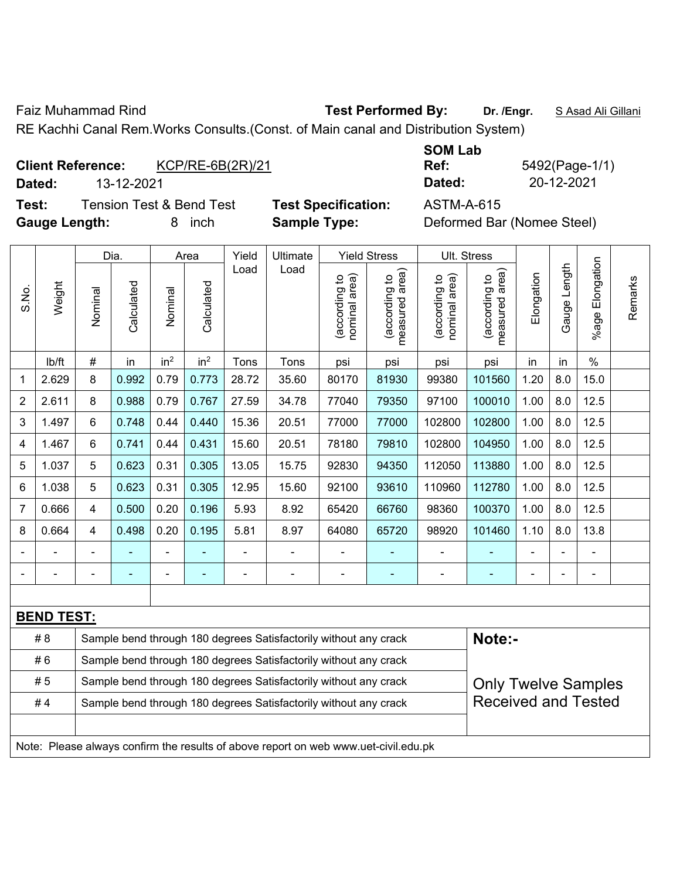Faiz Muhammad Rind **Test Performed By:** Dr. /Engr. **SAsad Ali Gillani** Collection And Dr. /Engr. **SAsad Ali Gillani** 

RE Kachhi Canal Rem.Works Consults.(Const. of Main canal and Distribution System)

## **Client Reference:** KCP/RE-6B(2R)/21

**Dated:** 13-12-2021 **Dated:** 20-12-2021

**Test:** Tension Test & Bend Test **Test Specification:** ASTM-A-615 **Gauge Length:** 8 inch **Sample Type:** Deformed Bar (Nomee Steel)

| SOM Lab |  |
|---------|--|
| Ref:    |  |
| Dated:  |  |

**Ref:** 5492(Page-1/1)

|                |                                                                                     | Dia.<br>Yield<br>Ultimate<br><b>Yield Stress</b><br>Area<br>Load<br>Load |            |                 |                 |                |                                                                  |                                |                                 |                                | Ult. Stress                     |                |              |                       |         |
|----------------|-------------------------------------------------------------------------------------|--------------------------------------------------------------------------|------------|-----------------|-----------------|----------------|------------------------------------------------------------------|--------------------------------|---------------------------------|--------------------------------|---------------------------------|----------------|--------------|-----------------------|---------|
| S.No.          | Weight                                                                              | Nominal                                                                  | Calculated | Nominal         | Calculated      |                |                                                                  | nominal area)<br>(according to | measured area)<br>(according to | (according to<br>nominal area) | measured area)<br>(according to | Elongation     | Gauge Length | Elongation<br>$%$ age | Remarks |
|                | lb/ft                                                                               | #                                                                        | in         | in <sup>2</sup> | in <sup>2</sup> | Tons           | Tons                                                             | psi                            | psi                             | psi                            | psi                             | in             | in           | $\%$                  |         |
| 1              | 2.629                                                                               | 8                                                                        | 0.992      | 0.79            | 0.773           | 28.72          | 35.60                                                            | 80170                          | 81930                           | 99380                          | 101560                          | 1.20           | 8.0          | 15.0                  |         |
| $\overline{2}$ | 2.611                                                                               | 8                                                                        | 0.988      | 0.79            | 0.767           | 27.59          | 34.78                                                            | 77040                          | 79350                           | 97100                          | 100010                          | 1.00           | 8.0          | 12.5                  |         |
| 3              | 1.497                                                                               | 6                                                                        | 0.748      | 0.44            | 0.440           | 15.36          | 20.51                                                            | 77000                          | 77000                           | 102800                         | 102800                          | 1.00           | 8.0          | 12.5                  |         |
| 4              | 1.467                                                                               | 6                                                                        | 0.741      | 0.44            | 0.431           | 15.60          | 20.51                                                            | 78180                          | 79810                           | 102800                         | 104950                          | 1.00           | 8.0          | 12.5                  |         |
| 5              | 1.037                                                                               | 5                                                                        | 0.623      | 0.31            | 0.305           | 13.05          | 15.75                                                            | 92830                          | 94350                           | 112050                         | 113880                          | 1.00           | 8.0          | 12.5                  |         |
| 6              | 1.038                                                                               | 5                                                                        | 0.623      | 0.31            | 0.305           | 12.95          | 15.60                                                            | 92100                          | 93610                           | 110960                         | 112780                          | 1.00           | 8.0          | 12.5                  |         |
| $\overline{7}$ | 0.666                                                                               | 4                                                                        | 0.500      | 0.20            | 0.196           | 5.93           | 8.92                                                             | 65420                          | 66760                           | 98360                          | 100370                          | 1.00           | 8.0          | 12.5                  |         |
| 8              | 0.664                                                                               | 4                                                                        | 0.498      | 0.20            | 0.195           | 5.81           | 8.97                                                             | 64080                          | 65720                           | 98920                          | 101460                          | 1.10           | 8.0          | 13.8                  |         |
|                | $\blacksquare$                                                                      | $\blacksquare$                                                           |            | ÷,              |                 | $\blacksquare$ | ä,                                                               | $\blacksquare$                 |                                 | $\blacksquare$                 | ÷                               |                |              | $\blacksquare$        |         |
|                |                                                                                     | $\blacksquare$                                                           | ÷          | ÷               | $\blacksquare$  | $\blacksquare$ | $\blacksquare$                                                   | $\blacksquare$                 | ٠                               | $\blacksquare$                 | ٠                               | $\blacksquare$ |              | $\blacksquare$        |         |
|                |                                                                                     |                                                                          |            |                 |                 |                |                                                                  |                                |                                 |                                |                                 |                |              |                       |         |
|                | <b>BEND TEST:</b>                                                                   |                                                                          |            |                 |                 |                |                                                                  |                                |                                 |                                |                                 |                |              |                       |         |
|                | # 8                                                                                 |                                                                          |            |                 |                 |                | Sample bend through 180 degrees Satisfactorily without any crack |                                |                                 |                                | Note:-                          |                |              |                       |         |
|                | #6                                                                                  |                                                                          |            |                 |                 |                | Sample bend through 180 degrees Satisfactorily without any crack |                                |                                 |                                |                                 |                |              |                       |         |
|                | #5                                                                                  |                                                                          |            |                 |                 |                | Sample bend through 180 degrees Satisfactorily without any crack |                                |                                 |                                | <b>Only Twelve Samples</b>      |                |              |                       |         |
|                | #4                                                                                  |                                                                          |            |                 |                 |                | Sample bend through 180 degrees Satisfactorily without any crack |                                |                                 |                                | <b>Received and Tested</b>      |                |              |                       |         |
|                |                                                                                     |                                                                          |            |                 |                 |                |                                                                  |                                |                                 |                                |                                 |                |              |                       |         |
|                | Note: Please always confirm the results of above report on web www.uet-civil.edu.pk |                                                                          |            |                 |                 |                |                                                                  |                                |                                 |                                |                                 |                |              |                       |         |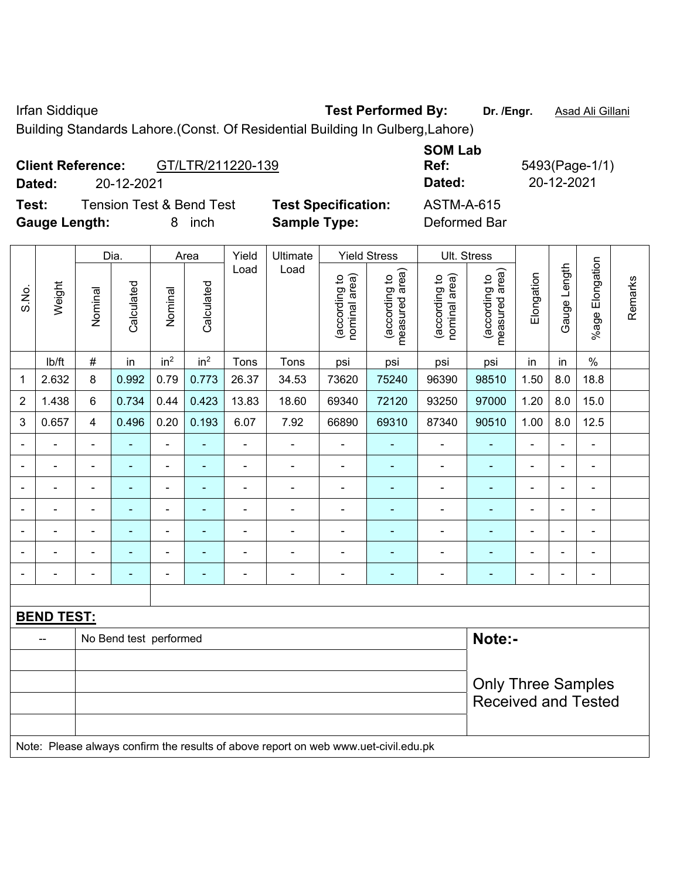Irfan Siddique **Test Performed By: Dr. /Engr.** Asad Ali Gillani

Building Standards Lahore.(Const. Of Residential Building In Gulberg,Lahore)

|                      | <b>Client Reference:</b> | GT/LTR/211220-139                   |                            | <b>SOM Lab</b><br>Ref: | 5493(Page-1/ |
|----------------------|--------------------------|-------------------------------------|----------------------------|------------------------|--------------|
| Dated:               | 20-12-2021               |                                     |                            | Dated:                 | 20-12-2021   |
| Test:                |                          | <b>Tension Test &amp; Bend Test</b> | <b>Test Specification:</b> | <b>ASTM-A-615</b>      |              |
| <b>Gauge Length:</b> |                          | inch                                | <b>Sample Type:</b>        | Deformed Bar           |              |

|                |                   |                          | Dia.                   |                          | Area            | Yield          | Ultimate                                                                            |                                | <b>Yield Stress</b>             |                                | Ult. Stress                       |                |                |                                                         |         |
|----------------|-------------------|--------------------------|------------------------|--------------------------|-----------------|----------------|-------------------------------------------------------------------------------------|--------------------------------|---------------------------------|--------------------------------|-----------------------------------|----------------|----------------|---------------------------------------------------------|---------|
| S.No.          | Weight            | Nominal                  | Calculated             | Nominal                  | Calculated      | Load           | Load                                                                                | nominal area)<br>(according to | (according to<br>measured area) | nominal area)<br>(according to | (according to  <br>measured area) | Elongation     | Gauge Length   | %age Elongation                                         | Remarks |
|                | Ib/ft             | $\#$                     | in                     | in <sup>2</sup>          | in <sup>2</sup> | Tons           | Tons                                                                                | psi                            | psi                             | psi                            | psi                               | in             | in             | $\%$                                                    |         |
| 1              | 2.632             | 8                        | 0.992                  | 0.79                     | 0.773           | 26.37          | 34.53                                                                               | 73620                          | 75240                           | 96390                          | 98510                             | 1.50           | 8.0            | 18.8                                                    |         |
| $\overline{2}$ | 1.438             | 6                        | 0.734                  | 0.44                     | 0.423           | 13.83          | 18.60                                                                               | 69340                          | 72120                           | 93250                          | 97000                             | 1.20           | 8.0            | 15.0                                                    |         |
| 3              | 0.657             | 4                        | 0.496                  | 0.20                     | 0.193           | 6.07           | 7.92                                                                                | 66890                          | 69310                           | 87340                          | 90510                             | 1.00           | 8.0            | 12.5                                                    |         |
|                | $\blacksquare$    | $\blacksquare$           | ÷                      | ÷,                       | $\blacksquare$  | $\blacksquare$ | ä,                                                                                  | ä,                             | ä,                              | $\blacksquare$                 | $\blacksquare$                    | $\blacksquare$ | ÷              | ÷,                                                      |         |
|                | $\blacksquare$    | $\blacksquare$           | ÷                      | $\blacksquare$           |                 | Ē,             | ä,                                                                                  | $\blacksquare$                 |                                 | $\blacksquare$                 | $\blacksquare$                    |                |                | $\blacksquare$                                          |         |
|                |                   |                          | $\blacksquare$         | $\blacksquare$           |                 | $\blacksquare$ | ÷                                                                                   |                                |                                 | $\blacksquare$                 | $\blacksquare$                    | $\blacksquare$ |                | ۰                                                       |         |
|                |                   |                          |                        | $\overline{\phantom{0}}$ |                 |                |                                                                                     | $\blacksquare$                 |                                 |                                |                                   |                |                | $\blacksquare$                                          |         |
| $\blacksquare$ | $\blacksquare$    | $\blacksquare$           | ۰                      | $\blacksquare$           | $\blacksquare$  | $\blacksquare$ | ÷                                                                                   | $\blacksquare$                 | ٠                               | ۰                              | $\blacksquare$                    | $\blacksquare$ | $\overline{a}$ | $\blacksquare$                                          |         |
|                | $\blacksquare$    | ä,                       | ۰                      | $\blacksquare$           | ÷               | ٠              | Ē,                                                                                  | $\blacksquare$                 |                                 | ä,                             |                                   | $\blacksquare$ | L.             | $\blacksquare$                                          |         |
|                | $\blacksquare$    | $\overline{\phantom{0}}$ | ۰                      | $\overline{\phantom{0}}$ | ٠               | $\blacksquare$ | $\blacksquare$                                                                      | $\blacksquare$                 | $\overline{\phantom{0}}$        | $\blacksquare$                 | $\blacksquare$                    | $\blacksquare$ | $\blacksquare$ | $\overline{\phantom{a}}$                                |         |
|                |                   |                          |                        |                          |                 |                |                                                                                     |                                |                                 |                                |                                   |                |                |                                                         |         |
|                | <b>BEND TEST:</b> |                          |                        |                          |                 |                |                                                                                     |                                |                                 |                                |                                   |                |                |                                                         |         |
|                |                   |                          | No Bend test performed |                          |                 |                |                                                                                     |                                |                                 |                                | Note:-                            |                |                |                                                         |         |
|                |                   |                          |                        |                          |                 |                |                                                                                     |                                |                                 |                                |                                   |                |                |                                                         |         |
|                |                   |                          |                        |                          |                 |                |                                                                                     |                                |                                 |                                |                                   |                |                | <b>Only Three Samples</b><br><b>Received and Tested</b> |         |
|                |                   |                          |                        |                          |                 |                | Note: Please always confirm the results of above report on web www.uet-civil.edu.pk |                                |                                 |                                |                                   |                |                |                                                         |         |

*(1)*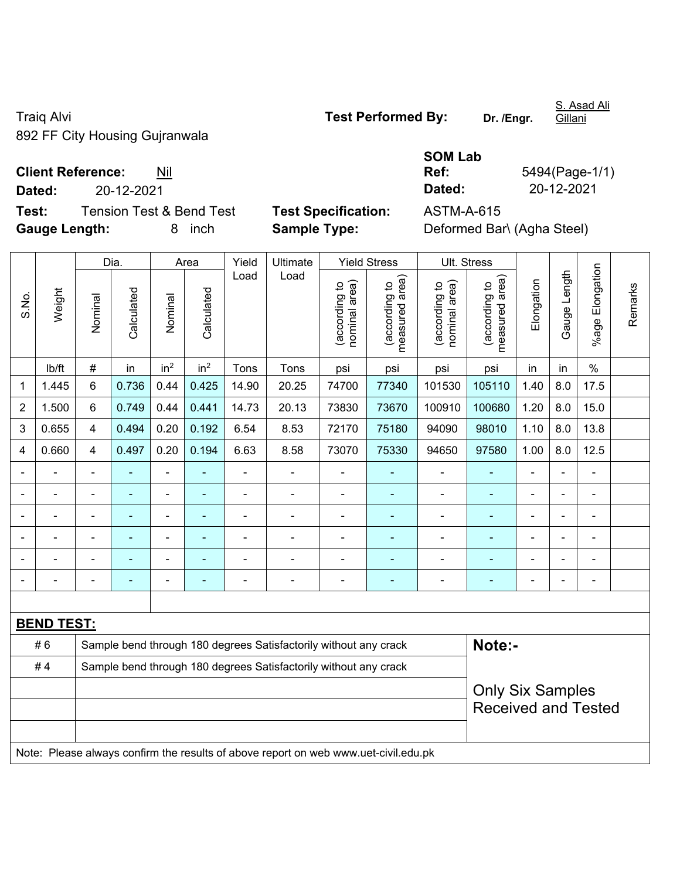Traiq Alvi **Traiq Alvi Test Performed By:** Dr. /Engr. 892 FF City Housing Gujranwala

S. Asad Ali Gillani

**Test:** Tension Test & Bend Test **Test Specification:** ASTM-A-615 **Gauge Length:** 8 inch **Sample Type:** Deformed Bar\ (Agha Steel)

|                          |            | <b>SOM Lab</b> |                |
|--------------------------|------------|----------------|----------------|
| <b>Client Reference:</b> | Nil        | Ref:           | 5494(Page-1/1) |
| Dated:                   | 20-12-2021 | Dated:         | 20-12-2021     |

|                |                   |                | Dia.                                                             |                          | Area                     | Yield          | Ultimate                                                                            |                                | <b>Yield Stress</b>             |                                | Ult. Stress                     |                |                          |                          |         |
|----------------|-------------------|----------------|------------------------------------------------------------------|--------------------------|--------------------------|----------------|-------------------------------------------------------------------------------------|--------------------------------|---------------------------------|--------------------------------|---------------------------------|----------------|--------------------------|--------------------------|---------|
| S.No.          | Weight            | Nominal        | Calculated                                                       | Nominal                  | Calculated               | Load           | Load                                                                                | (according to<br>nominal area) | (according to<br>measured area) | nominal area)<br>(according to | measured area)<br>(according to | Elongation     | Gauge Length             | %age Elongation          | Remarks |
|                | lb/ft             | $\#$           | in                                                               | in <sup>2</sup>          | in <sup>2</sup>          | Tons           | Tons                                                                                | psi                            | psi                             | psi                            | psi                             | in             | in                       | $\%$                     |         |
| 1              | 1.445             | 6              | 0.736                                                            | 0.44                     | 0.425                    | 14.90          | 20.25                                                                               | 74700                          | 77340                           | 101530                         | 105110                          | 1.40           | 8.0                      | 17.5                     |         |
| $\overline{2}$ | 1.500             | 6              | 0.749                                                            | 0.44                     | 0.441                    | 14.73          | 20.13                                                                               | 73830                          | 73670                           | 100910                         | 100680                          | 1.20           | 8.0                      | 15.0                     |         |
| 3              | 0.655             | $\overline{4}$ | 0.494                                                            | 0.20                     | 0.192                    | 6.54           | 8.53                                                                                | 72170                          | 75180                           | 94090                          | 98010                           | 1.10           | 8.0                      | 13.8                     |         |
| 4              | 0.660             | 4              | 0.497                                                            | 0.20                     | 0.194                    | 6.63           | 8.58                                                                                | 73070                          | 75330                           | 94650                          | 97580                           | 1.00           | 8.0                      | 12.5                     |         |
| $\blacksquare$ |                   | $\blacksquare$ | ÷,                                                               | $\blacksquare$           |                          | ä,             | ÷.                                                                                  | $\blacksquare$                 |                                 | $\blacksquare$                 | $\blacksquare$                  | $\blacksquare$ | $\blacksquare$           | $\blacksquare$           |         |
|                |                   | $\blacksquare$ | $\blacksquare$                                                   | $\blacksquare$           |                          | ä,             | $\overline{\phantom{0}}$                                                            | $\blacksquare$                 | $\blacksquare$                  | $\blacksquare$                 | $\blacksquare$                  | $\blacksquare$ | $\blacksquare$           | $\overline{\phantom{a}}$ |         |
|                |                   | $\blacksquare$ | $\blacksquare$                                                   | ÷,                       | $\blacksquare$           | L,             | ÷.                                                                                  | ä,                             | $\blacksquare$                  | $\blacksquare$                 | ÷                               | $\blacksquare$ |                          | $\blacksquare$           |         |
|                |                   |                |                                                                  | $\blacksquare$           |                          |                | $\blacksquare$                                                                      |                                |                                 | Ē,                             | ä,                              |                |                          | $\blacksquare$           |         |
|                |                   |                |                                                                  |                          |                          |                |                                                                                     |                                |                                 |                                |                                 |                |                          |                          |         |
| -              |                   |                | $\blacksquare$                                                   | $\overline{\phantom{0}}$ | $\overline{\phantom{a}}$ | $\blacksquare$ | $\overline{\phantom{0}}$                                                            | $\overline{a}$                 | ٠                               | -                              | ۰                               | $\blacksquare$ | $\overline{\phantom{0}}$ | $\overline{\phantom{a}}$ |         |
|                |                   |                |                                                                  |                          |                          |                |                                                                                     |                                |                                 |                                |                                 |                |                          |                          |         |
|                | <b>BEND TEST:</b> |                |                                                                  |                          |                          |                |                                                                                     |                                |                                 |                                |                                 |                |                          |                          |         |
|                | #6                |                |                                                                  |                          |                          |                | Sample bend through 180 degrees Satisfactorily without any crack                    |                                |                                 |                                | Note:-                          |                |                          |                          |         |
|                | #4                |                | Sample bend through 180 degrees Satisfactorily without any crack |                          |                          |                |                                                                                     |                                |                                 |                                |                                 |                |                          |                          |         |
|                |                   |                |                                                                  |                          |                          |                |                                                                                     |                                |                                 |                                | <b>Only Six Samples</b>         |                |                          |                          |         |
|                |                   |                |                                                                  |                          |                          |                |                                                                                     |                                |                                 |                                | <b>Received and Tested</b>      |                |                          |                          |         |
|                |                   |                |                                                                  |                          |                          |                |                                                                                     |                                |                                 |                                |                                 |                |                          |                          |         |
|                |                   |                |                                                                  |                          |                          |                | Note: Please always confirm the results of above report on web www.uet-civil.edu.pk |                                |                                 |                                |                                 |                |                          |                          |         |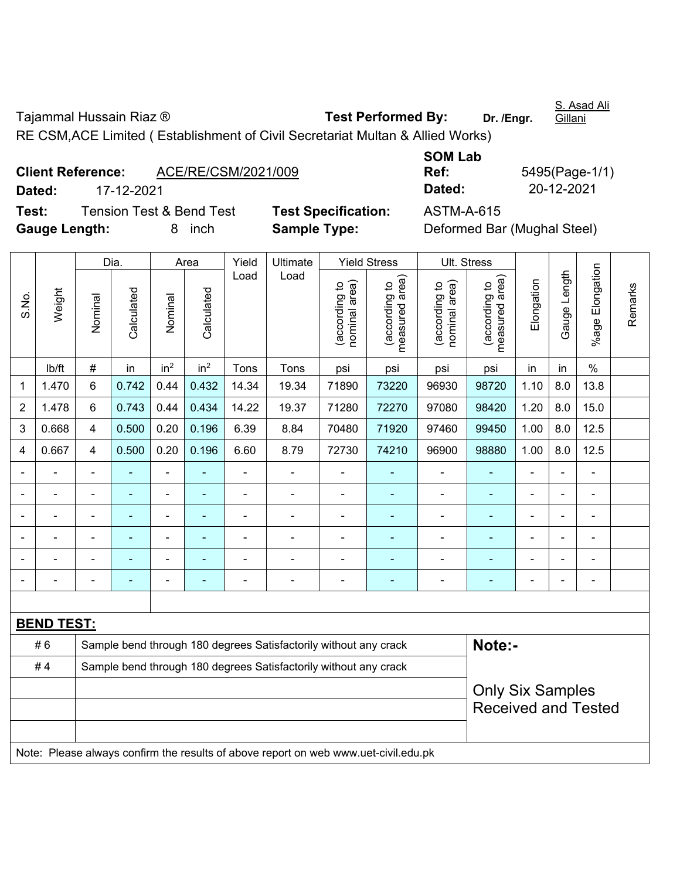Tajammal Hussain Riaz ® **Test Performed By:** Dr. /Engr.

S. Asad Ali

Gillani

RE CSM,ACE Limited ( Establishment of Civil Secretariat Multan & Allied Works)

|               | <b>Client Reference:</b> | ACE/RE/CSM/2021/009                 |                |
|---------------|--------------------------|-------------------------------------|----------------|
| Dated:        | 17-12-2021               |                                     |                |
| Test:         |                          | <b>Tension Test &amp; Bend Test</b> | <b>Test Sp</b> |
| Gauge Length: |                          | 8 inch                              | <b>Sample</b>  |

**SOM Lab Ref:** 5495(Page-1/1) **Dated:** 17-12-2021 **Dated:** 20-12-2021

**Tecification:** ASTM-A-615 **Fype: Cauge Deformed Bar (Mughal Steel)** 

|                |                   |                                                                  | Dia.       |                 | Area                                                                                                                                                        | Yield          | Ultimate                                                                            |                                | <b>Yield Stress</b>                           | Ult. Stress                    |                                 |                |                |                 |         |
|----------------|-------------------|------------------------------------------------------------------|------------|-----------------|-------------------------------------------------------------------------------------------------------------------------------------------------------------|----------------|-------------------------------------------------------------------------------------|--------------------------------|-----------------------------------------------|--------------------------------|---------------------------------|----------------|----------------|-----------------|---------|
| S.No.          | Weight            | Nominal                                                          | Calculated | Nominal         | Calculated                                                                                                                                                  | Load           | Load                                                                                | nominal area)<br>(according to | (according to  <br>neasured area)<br>measured | nominal area)<br>(according to | (according to<br>measured area) | Elongation     | Gauge Length   | %age Elongation | Remarks |
|                | lb/ft             | $\#$                                                             | in         | in <sup>2</sup> | in <sup>2</sup>                                                                                                                                             | Tons           | Tons                                                                                | psi                            | psi                                           | psi                            | psi                             | in             | in             | $\%$            |         |
| $\mathbf{1}$   | 1.470             | 6                                                                | 0.742      | 0.44            | 0.432                                                                                                                                                       | 14.34          | 19.34                                                                               | 71890                          | 73220                                         | 96930                          | 98720                           | 1.10           | 8.0            | 13.8            |         |
| $\overline{2}$ | 1.478             | 6                                                                | 0.743      | 0.44            | 0.434                                                                                                                                                       | 14.22          | 19.37                                                                               | 71280                          | 72270                                         | 97080                          | 98420                           | 1.20           | 8.0            | 15.0            |         |
| 3              | 0.668             | $\overline{4}$                                                   | 0.500      | 0.20            | 0.196                                                                                                                                                       | 6.39           | 8.84                                                                                | 70480                          | 71920                                         | 97460                          | 99450                           | 1.00           | 8.0            | 12.5            |         |
| 4              | 0.667             | $\overline{4}$                                                   | 0.500      | 0.20            | 0.196                                                                                                                                                       | 6.60           | 8.79                                                                                | 72730                          | 74210                                         | 96900                          | 98880                           | 1.00           | 8.0            | 12.5            |         |
| $\blacksquare$ |                   | ä,                                                               |            | $\blacksquare$  | ÷                                                                                                                                                           | ä,             | $\blacksquare$                                                                      | $\blacksquare$                 | $\blacksquare$                                | ÷                              | $\blacksquare$                  | ä,             | $\blacksquare$ | $\blacksquare$  |         |
|                |                   | ä,                                                               | ÷,         | $\blacksquare$  | ä,<br>ä,<br>$\blacksquare$<br>ä,<br>$\blacksquare$<br>$\blacksquare$<br>÷<br>٠<br>$\blacksquare$<br>$\blacksquare$                                          |                |                                                                                     |                                |                                               |                                |                                 |                |                |                 |         |
|                |                   | ä,                                                               | ۰          | $\frac{1}{2}$   | $\blacksquare$<br>$\blacksquare$<br>$\blacksquare$<br>$\blacksquare$<br>$\blacksquare$<br>$\overline{\phantom{0}}$<br>$\blacksquare$<br>$\blacksquare$<br>۰ |                |                                                                                     |                                |                                               |                                |                                 |                |                |                 |         |
|                |                   |                                                                  |            | $\blacksquare$  |                                                                                                                                                             |                |                                                                                     |                                |                                               | L,                             | $\blacksquare$                  |                |                | $\blacksquare$  |         |
|                |                   |                                                                  |            |                 |                                                                                                                                                             |                |                                                                                     |                                |                                               |                                |                                 |                |                |                 |         |
|                |                   | $\blacksquare$                                                   | ۰          | -               | ۰                                                                                                                                                           | $\blacksquare$ | $\blacksquare$                                                                      | $\blacksquare$                 | ٠                                             | -                              | $\blacksquare$                  | $\blacksquare$ | $\blacksquare$ | $\blacksquare$  |         |
|                |                   |                                                                  |            |                 |                                                                                                                                                             |                |                                                                                     |                                |                                               |                                |                                 |                |                |                 |         |
|                | <b>BEND TEST:</b> |                                                                  |            |                 |                                                                                                                                                             |                |                                                                                     |                                |                                               |                                |                                 |                |                |                 |         |
|                | #6                |                                                                  |            |                 |                                                                                                                                                             |                | Sample bend through 180 degrees Satisfactorily without any crack                    |                                |                                               |                                | Note:-                          |                |                |                 |         |
|                | #4                | Sample bend through 180 degrees Satisfactorily without any crack |            |                 |                                                                                                                                                             |                |                                                                                     |                                |                                               |                                |                                 |                |                |                 |         |
|                |                   | <b>Only Six Samples</b>                                          |            |                 |                                                                                                                                                             |                |                                                                                     |                                |                                               |                                |                                 |                |                |                 |         |
|                |                   |                                                                  |            |                 |                                                                                                                                                             |                |                                                                                     |                                |                                               |                                | <b>Received and Tested</b>      |                |                |                 |         |
|                |                   |                                                                  |            |                 |                                                                                                                                                             |                |                                                                                     |                                |                                               |                                |                                 |                |                |                 |         |
|                |                   |                                                                  |            |                 |                                                                                                                                                             |                | Note: Please always confirm the results of above report on web www.uet-civil.edu.pk |                                |                                               |                                |                                 |                |                |                 |         |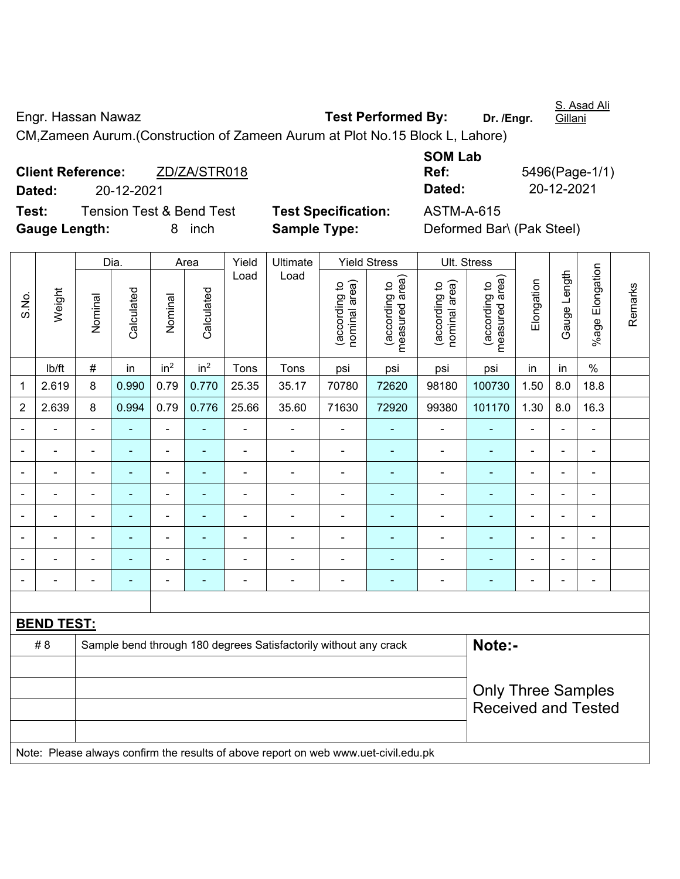Engr. Hassan Nawaz **Test Performed By:** Dr. /Engr.

S. Asad Ali Gillani

CM,Zameen Aurum.(Construction of Zameen Aurum at Plot No.15 Block L, Lahore)

**Client Reference:** ZD/ZA/STR018 **Dated:** 20-12-2021 **Dated:** 20-12-2021 **Test:** Tension Test & Bend Test **Test Specification:** ASTM-A-615 **Gauge Length:** 8 inch **Sample Type:** Deformed Bar\ (Pak Steel)

**SOM Lab Ref:** 5496(Page-1/1)

|                |                   |                           | Dia.           |                          | Area            | Yield          | Ultimate                                                                            |                                | <b>Yield Stress</b>             |                                | Ult. Stress                     |                          |                |                 |         |
|----------------|-------------------|---------------------------|----------------|--------------------------|-----------------|----------------|-------------------------------------------------------------------------------------|--------------------------------|---------------------------------|--------------------------------|---------------------------------|--------------------------|----------------|-----------------|---------|
| S.No.          | Weight            | Nominal                   | Calculated     | Nominal                  | Calculated      | Load           | Load                                                                                | nominal area)<br>(according to | measured area)<br>(according to | nominal area)<br>(according to | (according to<br>measured area) | Elongation               | Gauge Length   | %age Elongation | Remarks |
|                | lb/ft             | $\#$                      | in             | in <sup>2</sup>          | in <sup>2</sup> | Tons           | Tons                                                                                | psi                            | psi                             | psi                            | psi                             | in                       | in             | $\%$            |         |
| 1              | 2.619             | 8                         | 0.990          | 0.79                     | 0.770           | 25.35          | 35.17                                                                               | 70780                          | 72620                           | 98180                          | 100730                          | 1.50                     | 8.0            | 18.8            |         |
| $\overline{2}$ | 2.639             | 8                         | 0.994          | 0.79                     | 0.776           | 25.66          | 35.60                                                                               | 71630                          | 72920                           | 99380                          | 101170                          | 1.30                     | 8.0            | 16.3            |         |
|                |                   | $\blacksquare$            | ä,             | $\blacksquare$           | ٠               | L,             | L,                                                                                  | ä,                             |                                 | $\blacksquare$                 | ä,                              | ä,                       | $\blacksquare$ | ä,              |         |
|                |                   | $\blacksquare$            | $\blacksquare$ | $\blacksquare$           | ۰               | $\blacksquare$ | $\blacksquare$                                                                      | $\blacksquare$                 | $\blacksquare$                  | $\blacksquare$                 | $\blacksquare$                  | $\blacksquare$           |                | $\blacksquare$  |         |
|                |                   | ٠                         |                | ÷                        |                 |                | $\blacksquare$                                                                      |                                |                                 |                                | ۰                               | ÷                        | ä,             | $\blacksquare$  |         |
|                |                   | $\blacksquare$            | $\blacksquare$ | $\blacksquare$           | $\blacksquare$  | $\blacksquare$ | $\blacksquare$                                                                      | $\blacksquare$                 | ۰                               | $\blacksquare$                 | $\blacksquare$                  | ۰                        | $\blacksquare$ | $\blacksquare$  |         |
| $\blacksquare$ |                   | L,                        | $\blacksquare$ | ÷,                       | ÷               | $\blacksquare$ | ä,                                                                                  | ä,                             | ۰                               | ÷                              | $\blacksquare$                  | $\blacksquare$           | $\blacksquare$ | ÷,              |         |
|                |                   | $\blacksquare$            | $\blacksquare$ | $\blacksquare$           | ۰               | $\blacksquare$ | $\overline{\phantom{a}}$                                                            | $\blacksquare$                 | ۰                               | ÷                              | $\overline{\phantom{0}}$        | $\overline{\phantom{a}}$ | ä,             | ÷,              |         |
|                |                   | ÷                         | $\blacksquare$ | $\overline{\phantom{a}}$ | ÷               | $\blacksquare$ | ÷                                                                                   | $\blacksquare$                 | ÷                               | ÷                              | $\blacksquare$                  | $\blacksquare$           | L,             | $\blacksquare$  |         |
| $\blacksquare$ | $\blacksquare$    | $\blacksquare$            | $\blacksquare$ | $\blacksquare$           | ۰               | $\blacksquare$ | $\blacksquare$                                                                      | $\blacksquare$                 | $\blacksquare$                  | $\blacksquare$                 | $\blacksquare$                  | $\blacksquare$           | $\blacksquare$ | $\blacksquare$  |         |
|                |                   |                           |                |                          |                 |                |                                                                                     |                                |                                 |                                |                                 |                          |                |                 |         |
|                | <b>BEND TEST:</b> |                           |                |                          |                 |                |                                                                                     |                                |                                 |                                |                                 |                          |                |                 |         |
|                | # 8               |                           |                |                          |                 |                | Sample bend through 180 degrees Satisfactorily without any crack                    |                                |                                 |                                | Note:-                          |                          |                |                 |         |
|                |                   |                           |                |                          |                 |                |                                                                                     |                                |                                 |                                |                                 |                          |                |                 |         |
|                |                   | <b>Only Three Samples</b> |                |                          |                 |                |                                                                                     |                                |                                 |                                |                                 |                          |                |                 |         |
|                |                   |                           |                |                          |                 |                |                                                                                     |                                |                                 |                                | <b>Received and Tested</b>      |                          |                |                 |         |
|                |                   |                           |                |                          |                 |                |                                                                                     |                                |                                 |                                |                                 |                          |                |                 |         |
|                |                   |                           |                |                          |                 |                | Note: Please always confirm the results of above report on web www.uet-civil.edu.pk |                                |                                 |                                |                                 |                          |                |                 |         |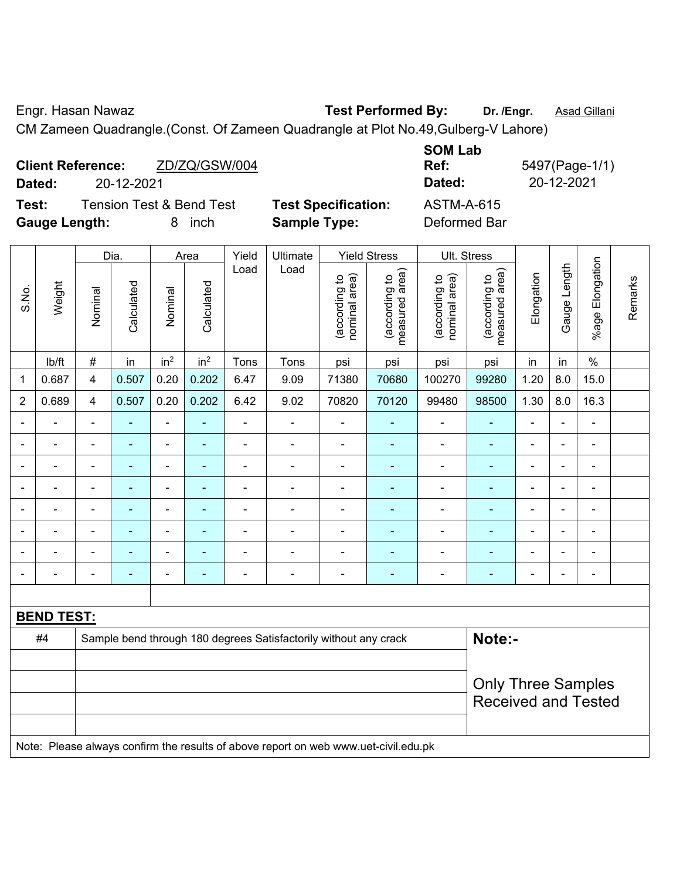Engr. Hasan Nawaz **Test Performed By:** Dr. /Engr. **Asad Gillani** 

CM Zameen Quadrangle.(Const. Of Zameen Quadrangle at Plot No.49,Gulberg-V Lahore)

| <b>Client Reference:</b><br>Dated:<br>20-12-2021 | ZD/ZQ/GSW/004               | <b>SOM Lab</b><br>Ref:<br>Dated: | 5497(Page-1/1)<br>20-12-2021 |
|--------------------------------------------------|-----------------------------|----------------------------------|------------------------------|
| <b>Tension Test &amp; Bend Test</b><br>Test:     | <b>Test Specification:</b>  | <b>ASTM-A-615</b>                |                              |
| <b>Gauge Length:</b><br>8                        | <b>Sample Type:</b><br>inch | Deformed Bar                     |                              |

|                |                   |                                                                                     | Dia.                     |                 | Area            | Yield          | Ultimate                 |                                | <b>Yield Stress</b>             |                                | Ult. Stress                                             |                |                |                           |         |
|----------------|-------------------|-------------------------------------------------------------------------------------|--------------------------|-----------------|-----------------|----------------|--------------------------|--------------------------------|---------------------------------|--------------------------------|---------------------------------------------------------|----------------|----------------|---------------------------|---------|
| S.No.          | Weight            | Nominal                                                                             | Calculated               | Nominal         | Calculated      | Load           | Load                     | nominal area)<br>(according to | (according to<br>measured area) | nominal area)<br>(according to | (according to<br>measured area)                         | Elongation     | Gauge Length   | Elongation<br>$%$ age $ $ | Remarks |
|                | lb/ft             | $\#$                                                                                | in                       | in <sup>2</sup> | in <sup>2</sup> | Tons           | Tons                     | psi                            | psi                             | psi                            | psi                                                     | in             | in             | $\%$                      |         |
| 1              | 0.687             | $\overline{\mathbf{4}}$                                                             | 0.507                    | 0.20            | 0.202           | 6.47           | 9.09                     | 71380                          | 70680                           | 100270                         | 99280                                                   | 1.20           | 8.0            | 15.0                      |         |
| $\overline{2}$ | 0.689             | $\overline{\mathbf{4}}$                                                             | 0.507                    | 0.20            | 0.202           | 6.42           | 9.02                     | 70820                          | 70120                           | 99480                          | 98500                                                   | 1.30           | 8.0            | 16.3                      |         |
|                | ÷                 | $\blacksquare$                                                                      | ٠                        | ÷,              |                 | $\blacksquare$ | $\overline{\phantom{a}}$ | $\blacksquare$                 | ۰                               | $\blacksquare$                 | $\blacksquare$                                          | $\blacksquare$ | $\blacksquare$ | $\blacksquare$            |         |
|                | ÷                 | $\blacksquare$                                                                      | ٠                        | ÷               |                 | $\blacksquare$ | $\blacksquare$           | -                              | ۰                               | $\overline{\phantom{a}}$       | $\blacksquare$                                          | $\blacksquare$ | $\blacksquare$ | $\blacksquare$            |         |
| $\blacksquare$ | ÷.                | $\blacksquare$                                                                      | $\blacksquare$           | ÷,              | $\blacksquare$  | $\blacksquare$ | $\blacksquare$           | ä,                             | ٠                               | $\blacksquare$                 | $\blacksquare$                                          | $\blacksquare$ | $\blacksquare$ | $\blacksquare$            |         |
|                | $\blacksquare$    | $\blacksquare$                                                                      | ٠                        | $\blacksquare$  |                 | $\blacksquare$ | $\blacksquare$           | ä,                             | ۰                               | $\blacksquare$                 | $\blacksquare$                                          | $\blacksquare$ |                | $\blacksquare$            |         |
|                |                   |                                                                                     | $\overline{\phantom{0}}$ | ٠               |                 |                | $\blacksquare$           | $\blacksquare$                 |                                 | $\blacksquare$                 | $\blacksquare$                                          | $\blacksquare$ |                | $\blacksquare$            |         |
|                |                   |                                                                                     |                          | $\blacksquare$  |                 |                | $\blacksquare$           | $\blacksquare$                 |                                 |                                |                                                         |                |                |                           |         |
|                |                   | $\blacksquare$                                                                      | ۰                        | $\overline{a}$  |                 |                | $\blacksquare$           |                                | ۰                               | $\overline{\phantom{0}}$       | $\blacksquare$                                          |                | $\blacksquare$ | $\blacksquare$            |         |
| $\blacksquare$ |                   | $\blacksquare$                                                                      | ۰                        | ÷,              |                 | $\blacksquare$ | $\blacksquare$           | $\blacksquare$                 | ٠                               | $\blacksquare$                 | $\blacksquare$                                          | $\blacksquare$ | $\blacksquare$ | $\blacksquare$            |         |
|                |                   |                                                                                     |                          |                 |                 |                |                          |                                |                                 |                                |                                                         |                |                |                           |         |
|                | <b>BEND TEST:</b> |                                                                                     |                          |                 |                 |                |                          |                                |                                 |                                |                                                         |                |                |                           |         |
|                | #4                | Note:-<br>Sample bend through 180 degrees Satisfactorily without any crack          |                          |                 |                 |                |                          |                                |                                 |                                |                                                         |                |                |                           |         |
|                |                   |                                                                                     |                          |                 |                 |                |                          |                                |                                 |                                |                                                         |                |                |                           |         |
|                |                   |                                                                                     |                          |                 |                 |                |                          |                                |                                 |                                | <b>Only Three Samples</b><br><b>Received and Tested</b> |                |                |                           |         |
|                |                   | Note: Please always confirm the results of above report on web www.uet-civil.edu.pk |                          |                 |                 |                |                          |                                |                                 |                                |                                                         |                |                |                           |         |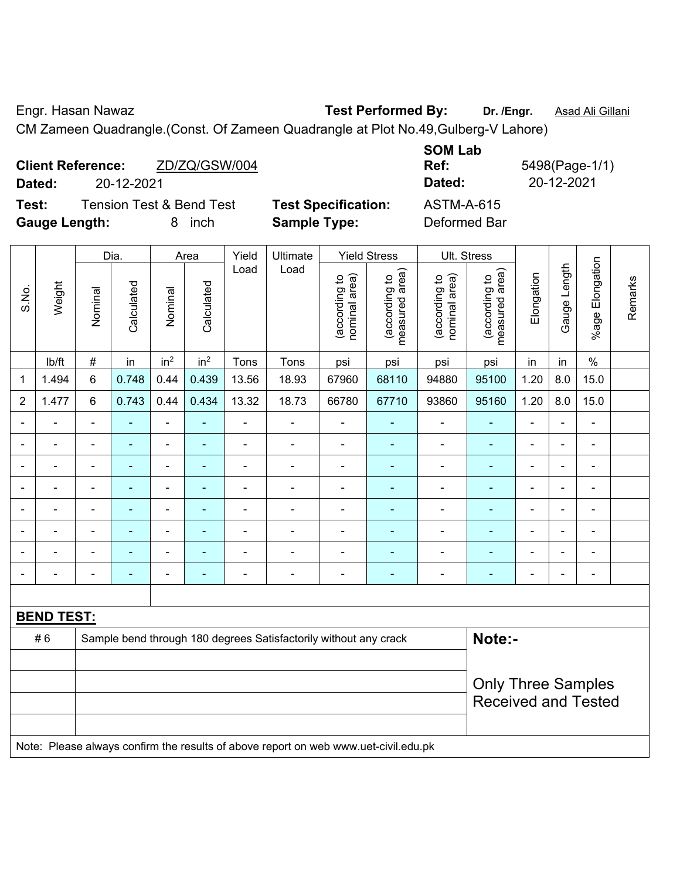Engr. Hasan Nawaz **Test Performed By: Dr. /Engr.** Asad Ali Gillani

CM Zameen Quadrangle.(Const. Of Zameen Quadrangle at Plot No.49,Gulberg-V Lahore)

| <b>Client Reference:</b><br>ZD/ZQ/GSW/004<br>20-12-2021<br>Dated: |                            | <b>SOM Lab</b><br>Ref:<br>Dated: | 5498(Page-1/1)<br>20-12-2021 |
|-------------------------------------------------------------------|----------------------------|----------------------------------|------------------------------|
| <b>Tension Test &amp; Bend Test</b><br>Test:                      | <b>Test Specification:</b> | ASTM-A-615                       |                              |
| <b>Gauge Length:</b><br>inch<br>x                                 | <b>Sample Type:</b>        | Deformed Bar                     |                              |

|                          |                          |                                                                                     | Dia.                     |                          | Area            | Yield                    | Ultimate                 |                                | <b>Yield Stress</b>             |                                | Ult. Stress                                             |                |                          |                 |         |
|--------------------------|--------------------------|-------------------------------------------------------------------------------------|--------------------------|--------------------------|-----------------|--------------------------|--------------------------|--------------------------------|---------------------------------|--------------------------------|---------------------------------------------------------|----------------|--------------------------|-----------------|---------|
| S.No.                    | Weight                   | Nominal                                                                             | Calculated               | Nominal                  | Calculated      | Load                     | Load                     | nominal area)<br>(according to | (according to<br>measured area) | nominal area)<br>(according to | measured area)<br>(according to                         | Elongation     | Gauge Length             | %age Elongation | Remarks |
|                          | Ib/ft                    | $\#$                                                                                | in                       | in <sup>2</sup>          | in <sup>2</sup> | Tons                     | Tons                     | psi                            | psi                             | psi                            | psi                                                     | in             | in                       | $\%$            |         |
| 1                        | 1.494                    | 6                                                                                   | 0.748                    | 0.44                     | 0.439           | 13.56                    | 18.93                    | 67960                          | 68110                           | 94880                          | 95100                                                   | 1.20           | 8.0                      | 15.0            |         |
| $\overline{2}$           | 1.477                    | 6                                                                                   | 0.743                    | 0.44                     | 0.434           | 13.32                    | 18.73                    | 66780                          | 67710                           | 93860                          | 95160                                                   | 1.20           | 8.0                      | 15.0            |         |
| $\overline{\phantom{a}}$ | $\blacksquare$           | $\blacksquare$                                                                      | ÷,                       | $\blacksquare$           | ä,              | $\blacksquare$           | $\blacksquare$           | $\blacksquare$                 | ÷                               | $\blacksquare$                 | $\blacksquare$                                          | ä,             | ÷,                       | $\blacksquare$  |         |
| $\blacksquare$           | $\overline{\phantom{a}}$ | $\blacksquare$                                                                      | $\blacksquare$           | $\blacksquare$           | $\blacksquare$  | $\overline{a}$           | $\overline{a}$           | ä,                             | $\blacksquare$                  | $\blacksquare$                 | $\blacksquare$                                          | $\blacksquare$ | $\blacksquare$           | $\blacksquare$  |         |
| $\blacksquare$           | $\blacksquare$           | $\blacksquare$                                                                      | ä,                       | $\blacksquare$           | ۰               | ä,                       | ä,                       | $\blacksquare$                 | ٠                               | $\blacksquare$                 | $\blacksquare$                                          | $\blacksquare$ | $\blacksquare$           | ä,              |         |
|                          | $\blacksquare$           | $\blacksquare$                                                                      | $\blacksquare$           | ٠                        | ÷               | ä,                       | Ē,                       | $\blacksquare$                 |                                 | $\blacksquare$                 | ۰                                                       |                |                          | ä,              |         |
| $\blacksquare$           | $\blacksquare$           | $\blacksquare$                                                                      | L.                       | ä,                       |                 |                          | $\blacksquare$           | $\blacksquare$                 | ۰                               | $\blacksquare$                 | ÷,                                                      | $\blacksquare$ | $\overline{\phantom{0}}$ | $\blacksquare$  |         |
| $\blacksquare$           |                          | $\blacksquare$                                                                      | $\blacksquare$           | $\blacksquare$           | $\blacksquare$  | $\overline{\phantom{0}}$ | ÷                        | $\blacksquare$                 | $\blacksquare$                  | $\blacksquare$                 | ۰                                                       | $\blacksquare$ | $\overline{\phantom{0}}$ | $\blacksquare$  |         |
| $\blacksquare$           |                          | $\blacksquare$                                                                      |                          | $\blacksquare$           |                 |                          | ÷                        | $\blacksquare$                 | ÷                               | $\blacksquare$                 | ۰                                                       | $\blacksquare$ | $\blacksquare$           | $\blacksquare$  |         |
| $\blacksquare$           | $\blacksquare$           | $\blacksquare$                                                                      | $\overline{\phantom{0}}$ | $\overline{\phantom{a}}$ | ٠               | $\blacksquare$           | $\overline{\phantom{a}}$ | $\blacksquare$                 | ۰                               | $\blacksquare$                 | ٠                                                       | $\blacksquare$ | ÷,                       | $\blacksquare$  |         |
|                          |                          |                                                                                     |                          |                          |                 |                          |                          |                                |                                 |                                |                                                         |                |                          |                 |         |
|                          | <b>BEND TEST:</b>        |                                                                                     |                          |                          |                 |                          |                          |                                |                                 |                                |                                                         |                |                          |                 |         |
|                          | #6                       | Note:-<br>Sample bend through 180 degrees Satisfactorily without any crack          |                          |                          |                 |                          |                          |                                |                                 |                                |                                                         |                |                          |                 |         |
|                          |                          |                                                                                     |                          |                          |                 |                          |                          |                                |                                 |                                |                                                         |                |                          |                 |         |
|                          |                          |                                                                                     |                          |                          |                 |                          |                          |                                |                                 |                                | <b>Only Three Samples</b><br><b>Received and Tested</b> |                |                          |                 |         |
|                          |                          | Note: Please always confirm the results of above report on web www.uet-civil.edu.pk |                          |                          |                 |                          |                          |                                |                                 |                                |                                                         |                |                          |                 |         |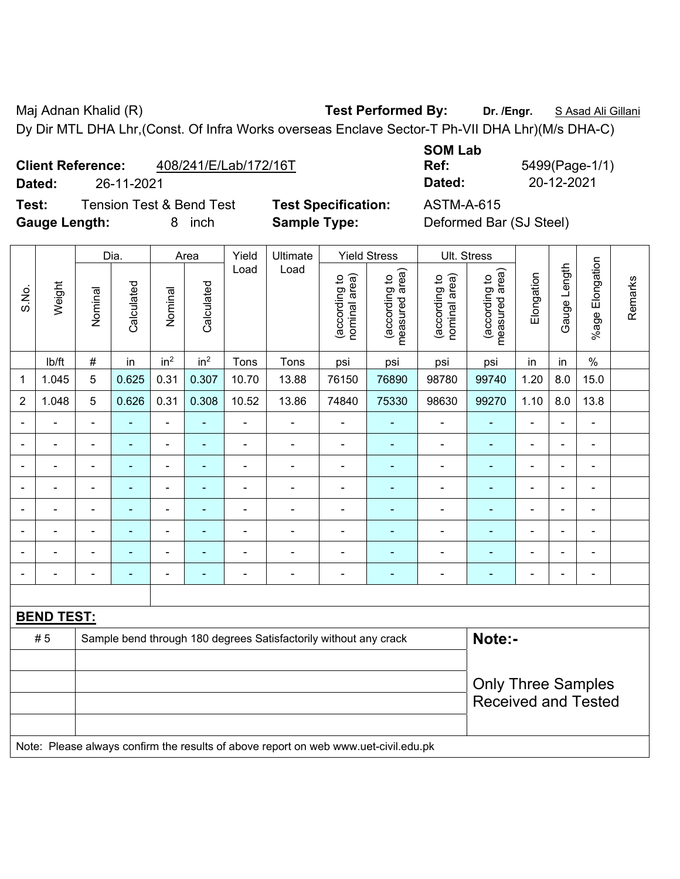Maj Adnan Khalid (R) **Test Performed By: Dr. /Engr.** S Asad Ali Gillani Dy Dir MTL DHA Lhr,(Const. Of Infra Works overseas Enclave Sector-T Ph-VII DHA Lhr)(M/s DHA-C)

**Client Reference:** 408/241/E/Lab/172/16T

**Test:** Tension Test & Bend Test **Test Specification:** ASTM-A-615 **Gauge Length:** 8 inch **Sample Type:** Deformed Bar (SJ Steel)

**SOM Lab Dated:** 26-11-2021 **Dated:** 20-12-2021

**Ref:** 5499(Page-1/1)

|                |                   |                | Dia.           |                              | Area            | Yield          | Ultimate                                                                            |                                | <b>Yield Stress</b>             |                                | Ult. Stress                                             |                |                |                              |         |
|----------------|-------------------|----------------|----------------|------------------------------|-----------------|----------------|-------------------------------------------------------------------------------------|--------------------------------|---------------------------------|--------------------------------|---------------------------------------------------------|----------------|----------------|------------------------------|---------|
| S.No.          | Weight            | Nominal        | Calculated     | Nominal                      | Calculated      | Load           | Load                                                                                | nominal area)<br>(according to | (according to<br>measured area) | (according to<br>nominal area) | (according to<br>measured area)                         | Elongation     | Gauge Length   | Elongation<br>$%$ age        | Remarks |
|                | lb/ft             | $\#$           | in             | in <sup>2</sup>              | in <sup>2</sup> | Tons           | Tons                                                                                | psi                            | psi                             | psi                            | psi                                                     | in             | in             | $\%$                         |         |
| 1              | 1.045             | 5              | 0.625          | 0.31                         | 0.307           | 10.70          | 13.88                                                                               | 76150                          | 76890                           | 98780                          | 99740                                                   | 1.20           | 8.0            | 15.0                         |         |
| $\overline{2}$ | 1.048             | 5              | 0.626          | 0.31                         | 0.308           | 10.52          | 13.86                                                                               | 74840                          | 75330                           | 98630                          | 99270                                                   | 1.10           | 8.0            | 13.8                         |         |
|                |                   | ÷              |                | $\blacksquare$               |                 |                | ä,                                                                                  | $\blacksquare$                 |                                 | $\blacksquare$                 | $\overline{a}$                                          |                |                |                              |         |
|                |                   | $\blacksquare$ |                | $\blacksquare$               |                 |                | $\blacksquare$                                                                      | ä,                             |                                 | $\blacksquare$                 |                                                         | $\blacksquare$ |                | $\blacksquare$               |         |
|                |                   | $\blacksquare$ | ä,             | $\qquad \qquad \blacksquare$ | $\overline{a}$  | $\blacksquare$ | $\frac{1}{2}$                                                                       | $\blacksquare$                 | $\blacksquare$                  | $\blacksquare$                 | $\blacksquare$                                          | $\blacksquare$ | $\blacksquare$ | ÷,                           |         |
|                |                   |                | ۰              | ۰                            | ٠               | $\blacksquare$ | ÷                                                                                   | $\blacksquare$                 | ٠                               | $\blacksquare$                 | $\blacksquare$                                          |                |                | ÷,                           |         |
|                |                   | $\blacksquare$ | $\blacksquare$ | $\blacksquare$               | ÷               | $\blacksquare$ | ÷,                                                                                  | $\overline{\phantom{a}}$       | ٠                               | $\blacksquare$                 | $\blacksquare$                                          | ä,             |                | $\blacksquare$               |         |
|                |                   | ä,             |                | ٠                            |                 |                |                                                                                     |                                |                                 |                                |                                                         |                |                | ä,                           |         |
|                |                   | $\blacksquare$ |                | $\blacksquare$               |                 |                | $\blacksquare$                                                                      | Ē,                             |                                 |                                |                                                         |                |                | L.                           |         |
|                |                   | $\blacksquare$ | ä,             | ۰                            | $\overline{a}$  | $\blacksquare$ | ÷                                                                                   | $\blacksquare$                 | $\blacksquare$                  | $\overline{\phantom{a}}$       | $\blacksquare$                                          | $\blacksquare$ | $\blacksquare$ | $\qquad \qquad \blacksquare$ |         |
|                |                   |                |                |                              |                 |                |                                                                                     |                                |                                 |                                |                                                         |                |                |                              |         |
|                | <b>BEND TEST:</b> |                |                |                              |                 |                |                                                                                     |                                |                                 |                                |                                                         |                |                |                              |         |
|                | #5                |                |                |                              |                 |                | Sample bend through 180 degrees Satisfactorily without any crack                    |                                |                                 |                                | Note:-                                                  |                |                |                              |         |
|                |                   |                |                |                              |                 |                |                                                                                     |                                |                                 |                                |                                                         |                |                |                              |         |
|                |                   |                |                |                              |                 |                |                                                                                     |                                |                                 |                                | <b>Only Three Samples</b><br><b>Received and Tested</b> |                |                |                              |         |
|                |                   |                |                |                              |                 |                | Note: Please always confirm the results of above report on web www.uet-civil.edu.pk |                                |                                 |                                |                                                         |                |                |                              |         |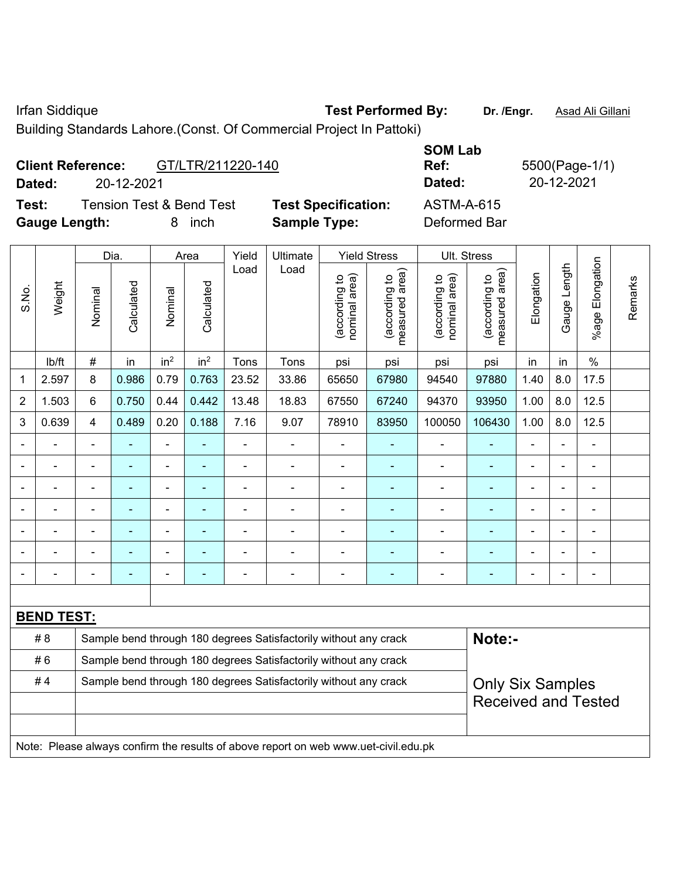Irfan Siddique **Test Performed By: Dr. /Engr.** Asad Ali Gillani

Building Standards Lahore.(Const. Of Commercial Project In Pattoki)

| <b>Client Reference:</b> |            | GT/LTR/211220-140                   |                            | <b>SOM Lab</b><br>Ref: | 5500(Page-1/1) |
|--------------------------|------------|-------------------------------------|----------------------------|------------------------|----------------|
| Dated:                   | 20-12-2021 |                                     |                            | Dated:                 | 20-12-2021     |
| Test:                    |            | <b>Tension Test &amp; Bend Test</b> | <b>Test Specification:</b> | <b>ASTM-A-615</b>      |                |
| <b>Gauge Length:</b>     |            | inch<br>8                           | <b>Sample Type:</b>        | Deformed Bar           |                |

|                | Dia.<br>Yield<br>Ultimate<br><b>Yield Stress</b><br>Ult. Stress<br>Area             |                                                                  |            |                          |                                              |                |                                                                  |                                |                                 |                                |                                             |                |              |                              |         |
|----------------|-------------------------------------------------------------------------------------|------------------------------------------------------------------|------------|--------------------------|----------------------------------------------|----------------|------------------------------------------------------------------|--------------------------------|---------------------------------|--------------------------------|---------------------------------------------|----------------|--------------|------------------------------|---------|
|                |                                                                                     |                                                                  |            |                          |                                              |                |                                                                  |                                |                                 |                                |                                             |                |              |                              |         |
| S.No.          | Weight                                                                              | Nominal                                                          | Calculated | Nominal                  | Calculated                                   | Load           | Load                                                             | nominal area)<br>(according to | (according to<br>measured area) | nominal area)<br>(according to | (according to<br>measured area)<br>measured | Elongation     | Gauge Length | Elongation<br>$%$ age        | Remarks |
|                | Ib/ft                                                                               | $\#$                                                             | in         | in <sup>2</sup>          | in <sup>2</sup>                              | Tons           | Tons                                                             | psi                            | psi                             | psi                            | psi                                         | in             | in           | $\%$                         |         |
| 1              | 2.597                                                                               | 8                                                                | 0.986      | 0.79                     | 0.763                                        | 23.52          | 33.86                                                            | 65650                          | 67980                           | 94540                          | 97880                                       | 1.40           | 8.0          | 17.5                         |         |
| $\overline{2}$ | 1.503                                                                               | 6                                                                | 0.750      | 0.44                     | 0.442                                        | 13.48          | 18.83                                                            | 67550                          | 67240                           | 94370                          | 93950                                       | 1.00           | 8.0          | 12.5                         |         |
| 3              | 0.639                                                                               | $\overline{\mathbf{4}}$                                          | 0.489      | 0.20                     | 0.188                                        | 7.16           | 9.07                                                             | 78910                          | 83950                           | 100050                         | 106430                                      | 1.00           | 8.0          | 12.5                         |         |
|                |                                                                                     |                                                                  |            | $\blacksquare$           |                                              | ÷,             | ä,                                                               | $\blacksquare$                 |                                 | $\blacksquare$                 | $\blacksquare$                              | ÷              |              | $\blacksquare$               |         |
|                | $\blacksquare$                                                                      | $\blacksquare$                                                   | ÷,         | $\overline{\phantom{0}}$ | $\blacksquare$                               | $\blacksquare$ | $\overline{\phantom{a}}$                                         | $\blacksquare$                 | $\blacksquare$                  | $\blacksquare$                 | $\blacksquare$                              | $\blacksquare$ |              | $\qquad \qquad \blacksquare$ |         |
|                |                                                                                     |                                                                  |            | ÷                        | Ē,<br>ä,<br>$\blacksquare$<br>$\blacksquare$ |                |                                                                  |                                |                                 |                                |                                             |                |              |                              |         |
|                |                                                                                     |                                                                  |            | ۰                        |                                              |                | $\blacksquare$                                                   | ۰                              | ٠                               | $\blacksquare$                 | $\blacksquare$                              | $\blacksquare$ |              |                              |         |
|                |                                                                                     |                                                                  |            | ÷                        |                                              |                | ÷                                                                | $\blacksquare$                 |                                 |                                |                                             |                |              | $\blacksquare$               |         |
|                |                                                                                     |                                                                  |            | ÷                        |                                              |                |                                                                  | ä,                             |                                 | $\blacksquare$                 |                                             |                |              | $\blacksquare$               |         |
|                |                                                                                     |                                                                  |            | -                        | $\blacksquare$                               | $\overline{a}$ | $\blacksquare$                                                   | -                              | $\blacksquare$                  | $\overline{\phantom{a}}$       | $\blacksquare$                              | $\blacksquare$ |              | ÷                            |         |
|                |                                                                                     |                                                                  |            |                          |                                              |                |                                                                  |                                |                                 |                                |                                             |                |              |                              |         |
|                | <b>BEND TEST:</b>                                                                   |                                                                  |            |                          |                                              |                |                                                                  |                                |                                 |                                |                                             |                |              |                              |         |
|                | # 8                                                                                 |                                                                  |            |                          |                                              |                | Sample bend through 180 degrees Satisfactorily without any crack |                                |                                 |                                | Note:-                                      |                |              |                              |         |
|                | #6                                                                                  | Sample bend through 180 degrees Satisfactorily without any crack |            |                          |                                              |                |                                                                  |                                |                                 |                                |                                             |                |              |                              |         |
|                | #4                                                                                  |                                                                  |            |                          |                                              |                | Sample bend through 180 degrees Satisfactorily without any crack |                                |                                 |                                | <b>Only Six Samples</b>                     |                |              |                              |         |
|                |                                                                                     |                                                                  |            |                          |                                              |                |                                                                  |                                |                                 |                                | <b>Received and Tested</b>                  |                |              |                              |         |
|                |                                                                                     |                                                                  |            |                          |                                              |                |                                                                  |                                |                                 |                                |                                             |                |              |                              |         |
|                | Note: Please always confirm the results of above report on web www.uet-civil.edu.pk |                                                                  |            |                          |                                              |                |                                                                  |                                |                                 |                                |                                             |                |              |                              |         |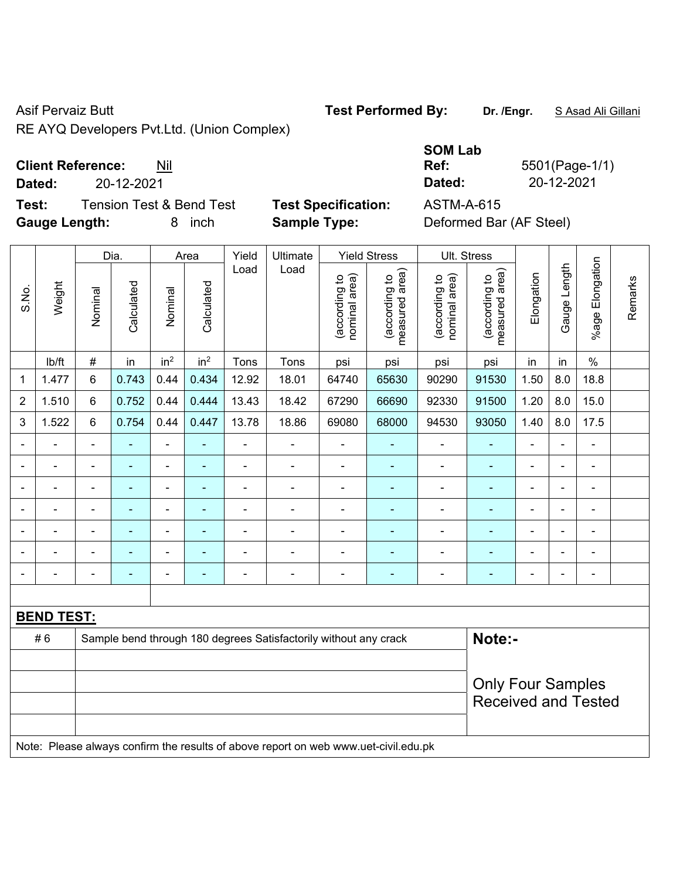RE AYQ Developers Pvt.Ltd. (Union Complex)

**Client Reference:** Nil

|       | Dated:                        |         | 20-12-2021                          |         |                    |               |                                                   |                                                     |                                                                 | Dated:                                         |                                                        | 20-12-2021 |                |                    |
|-------|-------------------------------|---------|-------------------------------------|---------|--------------------|---------------|---------------------------------------------------|-----------------------------------------------------|-----------------------------------------------------------------|------------------------------------------------|--------------------------------------------------------|------------|----------------|--------------------|
|       | Test:<br><b>Gauge Length:</b> |         | <b>Tension Test &amp; Bend Test</b> | 8       | inch               |               | <b>Test Specification:</b><br><b>Sample Type:</b> |                                                     |                                                                 | <b>ASTM-A-615</b>                              | Deformed Bar (AF Steel)                                |            |                |                    |
| S.No. | Weight                        | Nominal | Dia.<br>Calculated                  | Nominal | Area<br>Calculated | Yield<br>Load | Ultimate<br>Load                                  | লি<br>₽<br>Φ<br>င္ငွာ<br>ω<br>p<br>nomina<br>(accor | <b>Yield Stress</b><br>rea)<br>đ<br>ᡕᢐ<br>(according<br>easured | ea)<br><u>ِم</u><br>(according<br>등<br>nominal | Ult. Stress<br>rea)<br>đ<br>ω<br>(according<br>easured | Elongation | ength<br>Gauge | Elongation<br>%age |

|                |        |         | Dia.       |                 | Area            | Yield | Ultimate |                                         | Yield Stress                                    | UII. Stress                    |                                    |            |                 |                    |
|----------------|--------|---------|------------|-----------------|-----------------|-------|----------|-----------------------------------------|-------------------------------------------------|--------------------------------|------------------------------------|------------|-----------------|--------------------|
| S.No.          | Weight | Nominal | Calculated | Nominal         | Calculated      | Load  | Load     | area)<br>đ<br>(according<br>nominal are | area)<br>$\mathtt{S}$<br>(according<br>measured | (according to<br>nominal area) | area)<br>(according to<br>measured | Elongation | Length<br>Gauge | Elongation<br>%age |
|                | lb/ft  | $\#$    | in         | in <sup>2</sup> | in <sup>2</sup> | Tons  | Tons     | psi                                     | psi                                             | psi                            | psi                                | in         | in              | $\%$               |
| 1              | 1.477  | 6       | 0.743      | 0.44            | 0.434           | 12.92 | 18.01    | 64740                                   | 65630                                           | 90290                          | 91530                              | 1.50       | 8.0             | 18.8               |
| $\overline{2}$ | 1.510  | 6       | 0.752      | 0.44            | 0.444           | 13.43 | 18.42    | 67290                                   | 66690                                           | 92330                          | 91500                              | 1.20       | 8.0             | 15.0               |
| 3              | 1.522  | 6       | 0.754      | 0.44            | 0.447           | 13.78 | 18.86    | 69080                                   | 68000                                           | 94530                          | 93050                              | 1.40       | 8.0             | 17.5               |
|                |        |         |            |                 |                 |       |          |                                         |                                                 |                                |                                    |            |                 |                    |
|                |        |         |            |                 |                 |       |          |                                         |                                                 |                                |                                    |            |                 |                    |
|                |        |         |            |                 |                 |       |          |                                         |                                                 |                                |                                    |            |                 |                    |
| -              |        |         |            |                 |                 |       |          |                                         |                                                 |                                |                                    |            |                 |                    |

- - - - - - - - - - - - - - - - - - - - - - - - - - - - - - - - - - - - - - - - - - - - -

# 6 Sample bend through 180 degrees Satisfactorily without any crack **Note:-**

Note: Please always confirm the results of above report on web www.uet-civil.edu.pk

**SOM Lab Ref:** 5501(Page-1/1)

Only Four Samples Received and Tested

Remarks

Remarks

Asif Pervaiz Butt **Test Performed By:** Dr. /Engr. **SAsad Ali Gillani** Collani

**BEND TEST:**